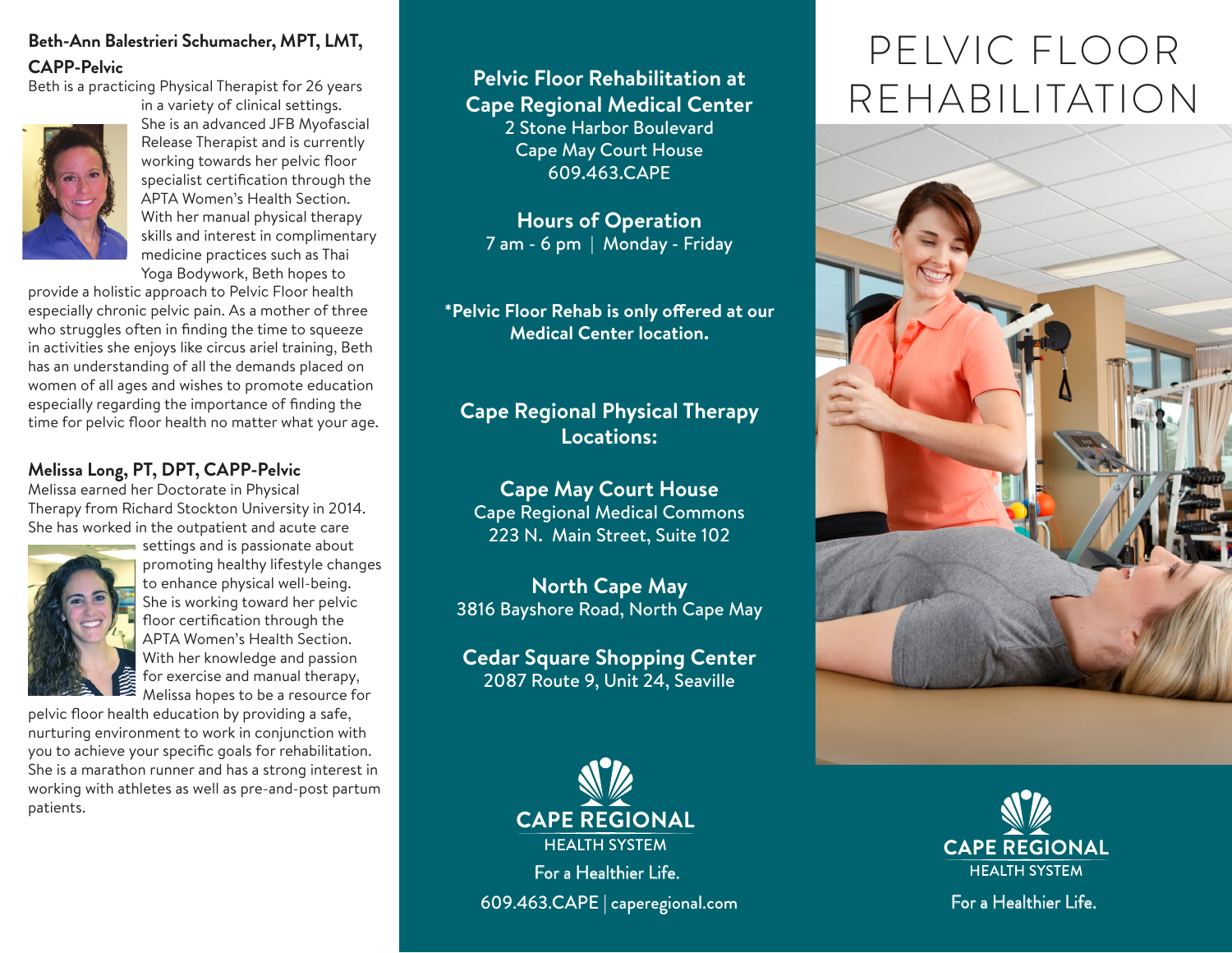#### **Beth-Ann Balestrieri Schumacher, MPT, LMT, CAPP-Pelvic**

Beth is a practicing Physical Therapist for 26 years



She is an advanced JFB Myofascial Release Therapist and is currently working towards her pelvic floor specialist certification through the APTA Women's Health Section. With her manual physical therapy skills and interest in complimentary medicine practices such as Thai Yoga Bodywork, Beth hopes to

in a variety of clinical settings.

provide a holistic approach to Pelvic Floor health especially chronic pelvic pain. As a mother of three who struggles often in finding the time to squeeze in activities she enjoys like circus ariel training, Beth has an understanding of all the demands placed on women of all ages and wishes to promote education especially regarding the importance of finding the time for pelvic floor health no matter what your age.

#### **Melissa Long, PT, DPT, CAPP-Pelvic**

Melissa earned her Doctorate in Physical Therapy from Richard Stockton University in 2014. She has worked in the outpatient and acute care



settings and is passionate about promoting healthy lifestyle changes to enhance physical well-being. She is working toward her pelvic floor certification through the APTA Women's Health Section. With her knowledge and passion for exercise and manual therapy, Melissa hopes to be a resource for

pelvic floor health education by providing a safe, nurturing environment to work in conjunction with you to achieve your specific goals for rehabilitation. She is a marathon runner and has a strong interest in working with athletes as well as pre-and-post partum patients.

## **Pelvic Floor Rehabilitation at Cape Regional Medical Center** 2 Stone Harbor Boulevard Cape May Court House

609.463.CAPE

**Hours of Operation** 7 am - 6 pm | Monday - Friday

**\*Pelvic Floor Rehab is only offered at our Medical Center location.** 

## **Cape Regional Physical Therapy Locations:**

**Cape May Court House** Cape Regional Medical Commons 223 N. Main Street, Suite 102

**North Cape May**  3816 Bayshore Road, North Cape May

**Cedar Square Shopping Center**  2087 Route 9, Unit 24, Seaville



For a Healthier Life. 609.463.CAPE | caperegional.com

# PELVIC FLOOR REHABILITATION





For a Healthier Life.